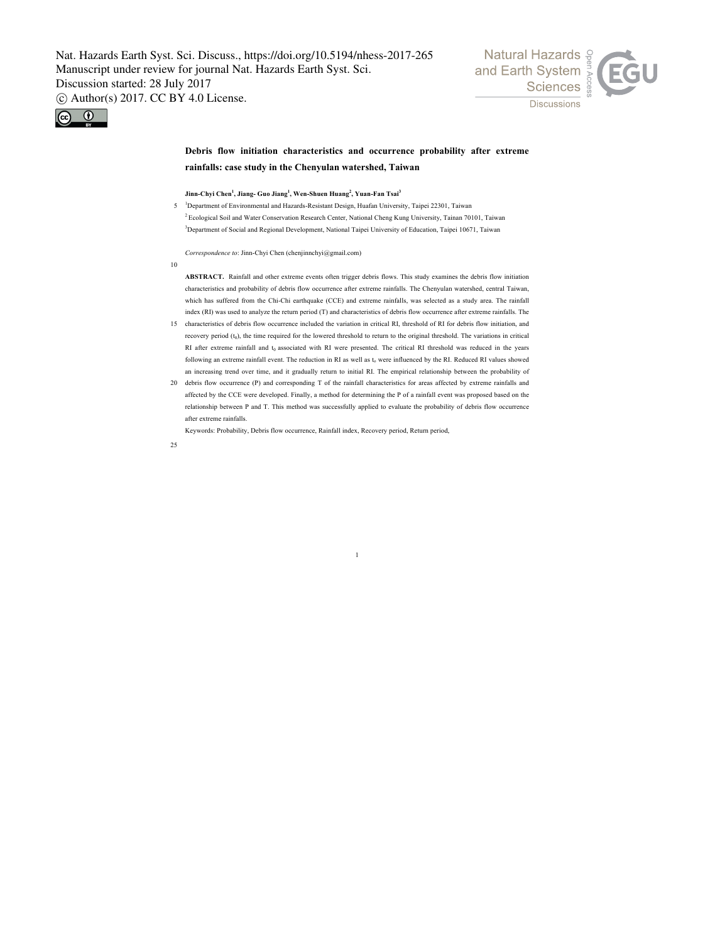



# **Debris flow initiation characteristics and occurrence probability after extreme rainfalls: case study in the Chenyulan watershed, Taiwan**

**Jinn-Chyi Chen<sup>1</sup> , Jiang- Guo Jiang<sup>1</sup> , Wen-Shuen Huang<sup>2</sup> , Yuan-Fan Tsai<sup>3</sup>**

<sup>1</sup> 5 Department of Environmental and Hazards-Resistant Design, Huafan University, Taipei 22301, Taiwan 2 Ecological Soil and Water Conservation Research Center, National Cheng Kung University, Tainan 70101, Taiwan 3 Department of Social and Regional Development, National Taipei University of Education, Taipei 10671, Taiwan

*Correspondence to*: Jinn-Chyi Chen (chenjinnchyi@gmail.com)

10

 $25$ 

**ABSTRACT.** Rainfall and other extreme events often trigger debris flows. This study examines the debris flow initiation characteristics and probability of debris flow occurrence after extreme rainfalls. The Chenyulan watershed, central Taiwan, which has suffered from the Chi-Chi earthquake (CCE) and extreme rainfalls, was selected as a study area. The rainfall index (RI) was used to analyze the return period (T) and characteristics of debris flow occurrence after extreme rainfalls. The

- 15 characteristics of debris flow occurrence included the variation in critical RI, threshold of RI for debris flow initiation, and recovery period (t<sub>0</sub>), the time required for the lowered threshold to return to the original threshold. The variations in critical RI after extreme rainfall and t<sub>0</sub> associated with RI were presented. The critical RI threshold was reduced in the years following an extreme rainfall event. The reduction in RI as well as t<sub>o</sub> were influenced by the RI. Reduced RI values showed an increasing trend over time, and it gradually return to initial RI. The empirical relationship between the probability of
- 20 debris flow occurrence (P) and corresponding T of the rainfall characteristics for areas affected by extreme rainfalls and affected by the CCE were developed. Finally, a method for determining the P of a rainfall event was proposed based on the relationship between P and T. This method was successfully applied to evaluate the probability of debris flow occurrence after extreme rainfalls.

1

Keywords: Probability, Debris flow occurrence, Rainfall index, Recovery period, Return period,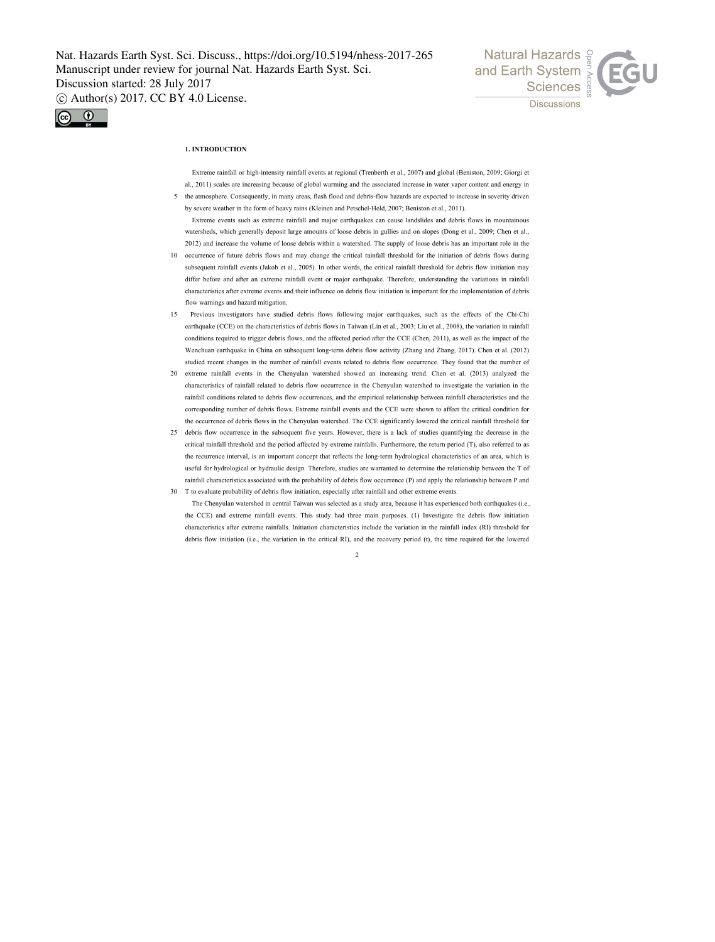



# **1. INTRODUCTION**

 Extreme rainfall or high-intensity rainfall events at regional (Trenberth et al., 2007) and global (Beniston, 2009; Giorgi et al., 2011) scales are increasing because of global warming and the associated increase in water vapor content and energy in 5 the atmosphere. Consequently, in many areas, flash flood and debris-flow hazards are expected to increase in severity driven by severe weather in the form of heavy rains (Kleinen and Petschel-Held, 2007; Beniston et al., 2011).

 Extreme events such as extreme rainfall and major earthquakes can cause landslides and debris flows in mountainous watersheds, which generally deposit large amounts of loose debris in gullies and on slopes (Dong et al., 2009; Chen et al., 2012) and increase the volume of loose debris within a watershed. The supply of loose debris has an important role in the

- 10 occurrence of future debris flows and may change the critical rainfall threshold for the initiation of debris flows during subsequent rainfall events (Jakob et al., 2005). In other words, the critical rainfall threshold for debris flow initiation may differ before and after an extreme rainfall event or major earthquake. Therefore, understanding the variations in rainfall characteristics after extreme events and their influence on debris flow initiation is important for the implementation of debris flow warnings and hazard mitigation.
- 15 Previous investigators have studied debris flows following major earthquakes, such as the effects of the Chi-Chi earthquake (CCE) on the characteristics of debris flows in Taiwan (Lin et al., 2003; Liu et al., 2008), the variation in rainfall conditions required to trigger debris flows, and the affected period after the CCE (Chen, 2011), as well as the impact of the Wenchuan earthquake in China on subsequent long-term debris flow activity (Zhang and Zhang, 2017). Chen et al. (2012) studied recent changes in the number of rainfall events related to debris flow occurrence. They found that the number of
- 20 extreme rainfall events in the Chenyulan watershed showed an increasing trend. Chen et al. (2013) analyzed the characteristics of rainfall related to debris flow occurrence in the Chenyulan watershed to investigate the variation in the rainfall conditions related to debris flow occurrences, and the empirical relationship between rainfall characteristics and the corresponding number of debris flows. Extreme rainfall events and the CCE were shown to affect the critical condition for the occurrence of debris flows in the Chenyulan watershed. The CCE significantly lowered the critical rainfall threshold for
- 25 debris flow occurrence in the subsequent five years. However, there is a lack of studies quantifying the decrease in the critical rainfall threshold and the period affected by extreme rainfalls. Furthermore, the return period (T), also referred to as the recurrence interval, is an important concept that reflects the long-term hydrological characteristics of an area, which is useful for hydrological or hydraulic design. Therefore, studies are warranted to determine the relationship between the T of rainfall characteristics associated with the probability of debris flow occurrence (P) and apply the relationship between P and 30 T to evaluate probability of debris flow initiation, especially after rainfall and other extreme events.
	- The Chenyulan watershed in central Taiwan was selected as a study area, because it has experienced both earthquakes (i.e., the CCE) and extreme rainfall events. This study had three main purposes. (1) Investigate the debris flow initiation characteristics after extreme rainfalls. Initiation characteristics include the variation in the rainfall index (RI) threshold for debris flow initiation (i.e., the variation in the critical RI), and the recovery period (t), the time required for the lowered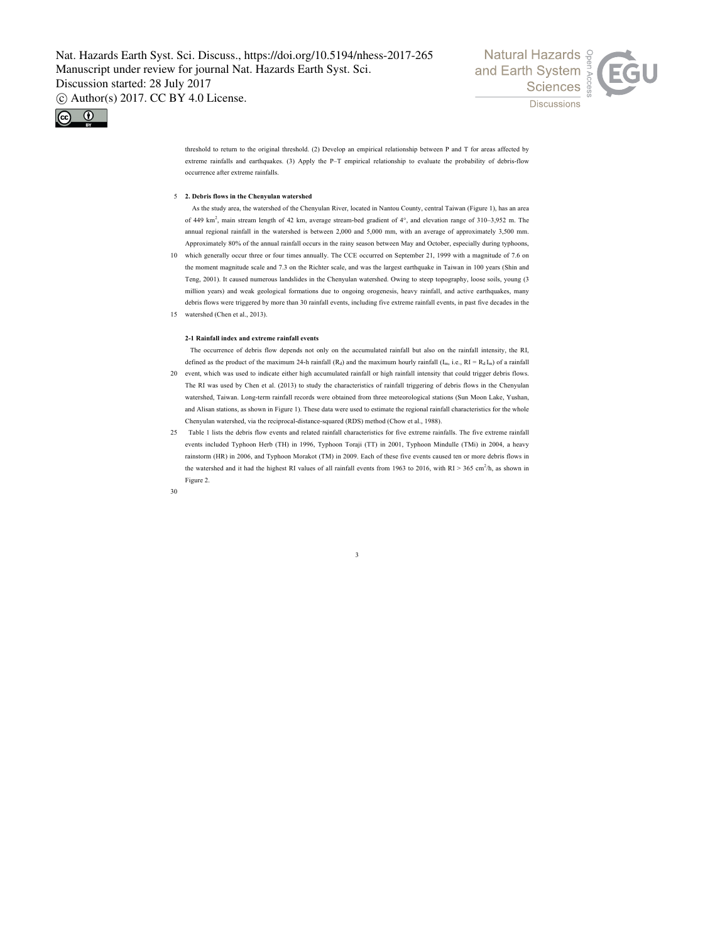



threshold to return to the original threshold. (2) Develop an empirical relationship between P and T for areas affected by extreme rainfalls and earthquakes. (3) Apply the P–T empirical relationship to evaluate the probability of debris-flow occurrence after extreme rainfalls.

#### 5 **2. Debris flows in the Chenyulan watershed**

 As the study area, the watershed of the Chenyulan River, located in Nantou County, central Taiwan (Figure 1), has an area of 449 km<sup>2</sup> , main stream length of 42 km, average stream-bed gradient of 4°, and elevation range of 310–3,952 m. The annual regional rainfall in the watershed is between 2,000 and 5,000 mm, with an average of approximately 3,500 mm. Approximately 80% of the annual rainfall occurs in the rainy season between May and October, especially during typhoons

- 10 which generally occur three or four times annually. The CCE occurred on September 21, 1999 with a magnitude of 7.6 on the moment magnitude scale and 7.3 on the Richter scale, and was the largest earthquake in Taiwan in 100 years (Shin and Teng, 2001). It caused numerous landslides in the Chenyulan watershed. Owing to steep topography, loose soils, young (3 million years) and weak geological formations due to ongoing orogenesis, heavy rainfall, and active earthquakes, many debris flows were triggered by more than 30 rainfall events, including five extreme rainfall events, in past five decades in the
- 15 watershed (Chen et al., 2013).

# **2-1 Rainfall index and extreme rainfall events**

 The occurrence of debris flow depends not only on the accumulated rainfall but also on the rainfall intensity, the RI, defined as the product of the maximum 24-h rainfall ( $R_d$ ) and the maximum hourly rainfall (I<sub>m</sub>, i.e.,  $RI = R_d I_m$ ) of a rainfall

- 20 event, which was used to indicate either high accumulated rainfall or high rainfall intensity that could trigger debris flows. The RI was used by Chen et al. (2013) to study the characteristics of rainfall triggering of debris flows in the Chenyulan watershed, Taiwan. Long-term rainfall records were obtained from three meteorological stations (Sun Moon Lake, Yushan, and Alisan stations, as shown in Figure 1). These data were used to estimate the regional rainfall characteristics for the whole Chenyulan watershed, via the reciprocal-distance-squared (RDS) method (Chow et al., 1988).
- 25 Table 1 lists the debris flow events and related rainfall characteristics for five extreme rainfalls. The five extreme rainfall events included Typhoon Herb (TH) in 1996, Typhoon Toraji (TT) in 2001, Typhoon Mindulle (TMi) in 2004, a heavy rainstorm (HR) in 2006, and Typhoon Morakot (TM) in 2009. Each of these five events caused ten or more debris flows in the watershed and it had the highest RI values of all rainfall events from 1963 to 2016, with  $RI > 365$  cm<sup>2</sup>/h, as shown in Figure 2.

3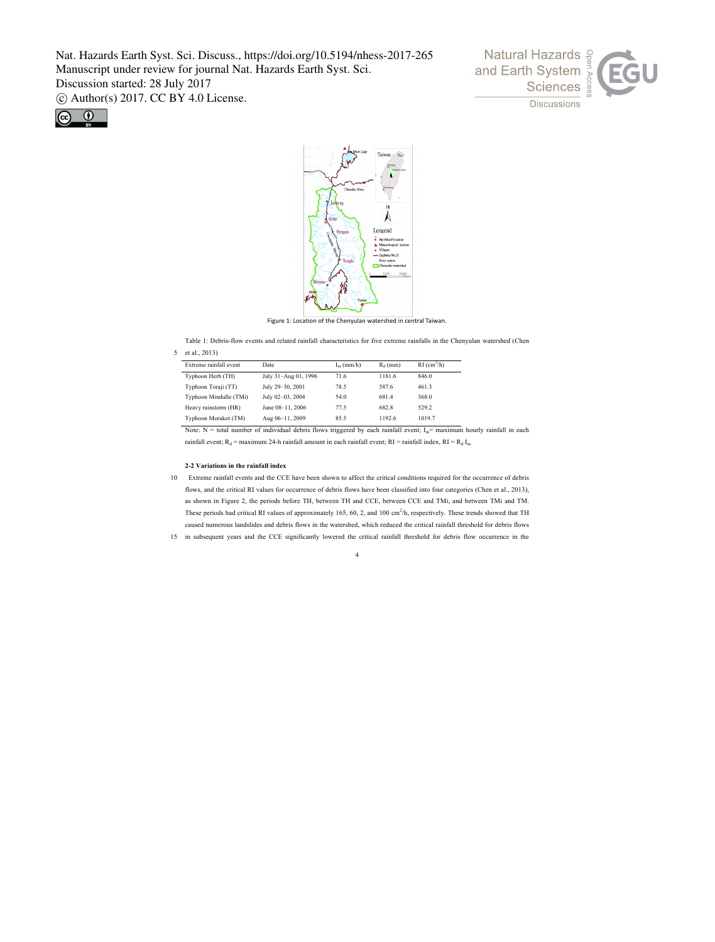Nat. Hazards Earth Syst. Sci. Discuss., https://doi.org/10.5194/nhess-2017-265 Manuscript under review for journal Nat. Hazards Earth Syst. Sci. Discussion started: 28 July 2017

c Author(s) 2017. CC BY 4.0 License.







Figure 1: Location of the Chenyulan watershed in central Taiwan.

Table 1: Debris-flow events and related rainfall characteristics for five extreme rainfalls in the Chenyulan watershed (Chen 5 et al., 2013)

| Extreme rainfall event | Date:                | $I_m$ (mm/h) | $R_d$ (mm) | $RI$ (cm <sup>2</sup> /h) |
|------------------------|----------------------|--------------|------------|---------------------------|
| Typhoon Herb (TH)      | July 31-Aug 01, 1996 | 71.6         | 1181.6     | 846.0                     |
| Typhoon Toraji (TT)    | July 29-30, 2001     | 78.5         | 5876       | 461.3                     |
| Typhoon Mindulle (TMi) | July 02-03, 2004     | 54.0         | 6814       | 368.0                     |
| Heavy rainstorm (HR)   | June 08-11, 2006     | 77.5         | 682.8      | 529.2                     |
| Typhoon Morakot (TM)   | Aug 06-11, 2009      | 85.5         | 1192.6     | 1019.7                    |

Note: N = total number of individual debris flows triggered by each rainfall event;  $I_m$ = maximum hourly rainfall in each rainfall event;  $R_d$  = maximum 24-h rainfall amount in each rainfall event;  $RI$  = rainfall index,  $RI = R_d I_m$ 

### **2-2 Variations in the rainfall index**

10 Extreme rainfall events and the CCE have been shown to affect the critical conditions required for the occurrence of debris flows, and the critical RI values for occurrence of debris flows have been classified into four categories (Chen et al., 2013), as shown in Figure 2, the periods before TH, between TH and CCE, between CCE and TMi, and between TMi and TM. These periods had critical RI values of approximately 165, 60, 2, and 100 cm<sup>2</sup>/h, respectively. These trends showed that TH caused numerous landslides and debris flows in the watershed, which reduced the critical rainfall threshold for debris flows

<sup>4</sup> 15 in subsequent years and the CCE significantly lowered the critical rainfall threshold for debris flow occurrence in the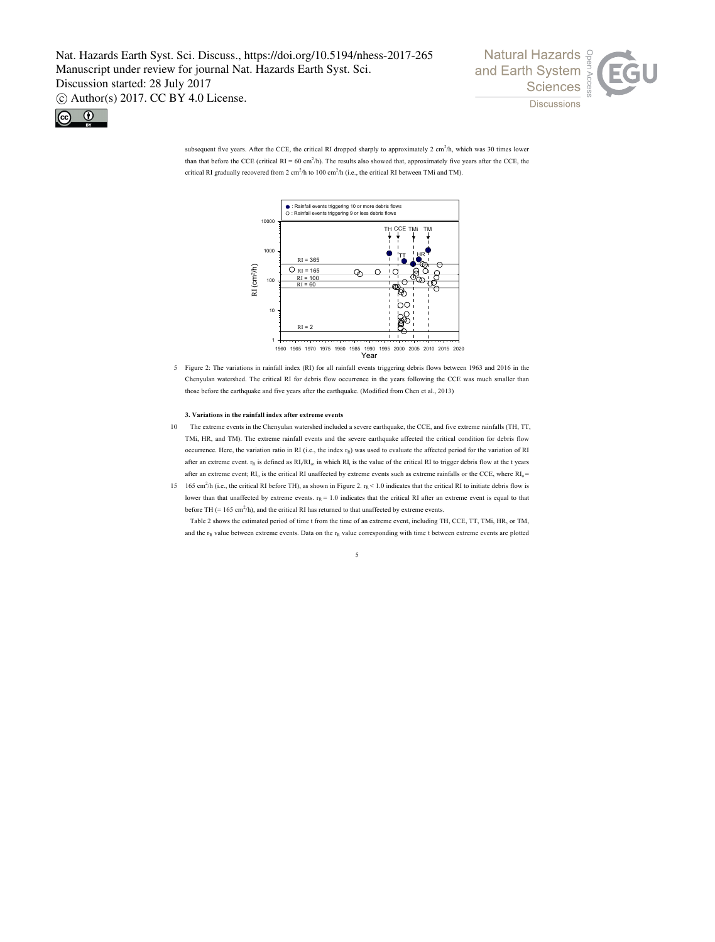



subsequent five years. After the CCE, the critical RI dropped sharply to approximately 2 cm<sup>2</sup>/h, which was 30 times lower than that before the CCE (critical  $RI = 60$  cm<sup>2</sup>/h). The results also showed that, approximately five years after the CCE, the critical RI gradually recovered from 2 cm<sup>2</sup>/h to 100 cm<sup>2</sup>/h (i.e., the critical RI between TMi and TM).



5 Figure 2: The variations in rainfall index (RI) for all rainfall events triggering debris flows between 1963 and 2016 in the Chenyulan watershed. The critical RI for debris flow occurrence in the years following the CCE was much smaller than those before the earthquake and five years after the earthquake. (Modified from Chen et al., 2013)

# **3. Variations in the rainfall index after extreme events**

- 10 The extreme events in the Chenyulan watershed included a severe earthquake, the CCE, and five extreme rainfalls (TH, TT, TMi, HR, and TM). The extreme rainfall events and the severe earthquake affected the critical condition for debris flow occurrence. Here, the variation ratio in RI (i.e., the index  $r_R$ ) was used to evaluate the affected period for the variation of RI after an extreme event.  $r_R$  is defined as  $RI_V/RI_o$ , in which  $RI_t$  is the value of the critical RI to trigger debris flow at the t years after an extreme event;  $RI_0$  is the critical RI unaffected by extreme events such as extreme rainfalls or the CCE, where  $RI_0$  =
- 15 165 cm<sup>2</sup>/h (i.e., the critical RI before TH), as shown in Figure 2.  $r_R < 1.0$  indicates that the critical RI to initiate debris flow is lower than that unaffected by extreme events.  $r_R = 1.0$  indicates that the critical RI after an extreme event is equal to that before TH  $(= 165 \text{ cm}^2/h)$ , and the critical RI has returned to that unaffected by extreme events.

 Table 2 shows the estimated period of time t from the time of an extreme event, including TH, CCE, TT, TMi, HR, or TM, and the  $r_R$  value between extreme events. Data on the  $r_R$  value corresponding with time t between extreme events are plotted

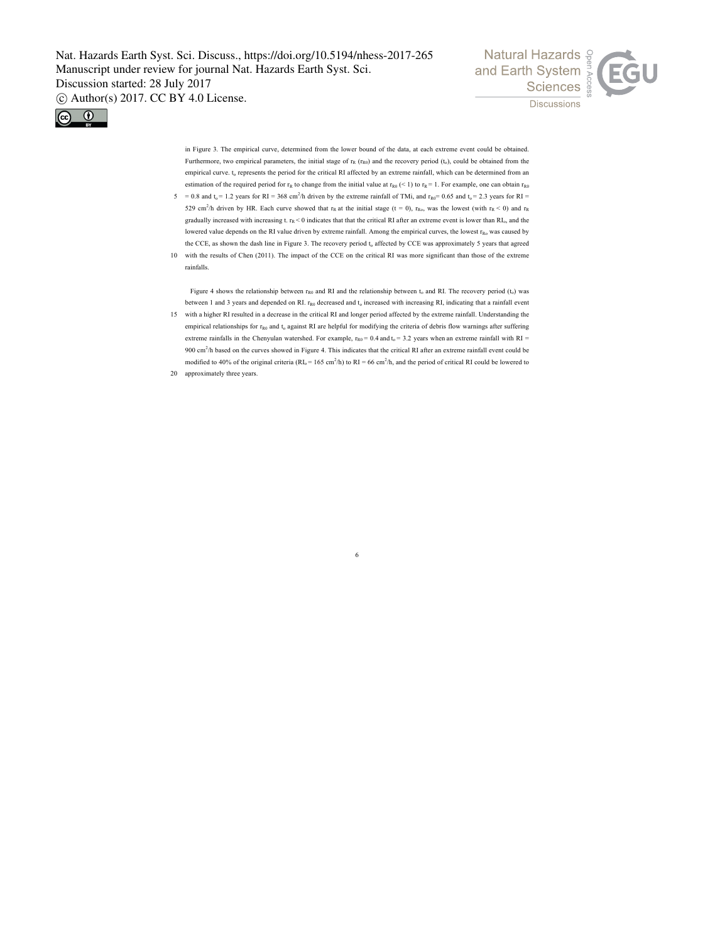



in Figure 3. The empirical curve, determined from the lower bound of the data, at each extreme event could be obtained Furthermore, two empirical parameters, the initial stage of  $r<sub>R</sub>$  ( $r<sub>R0</sub>$ ) and the recovery period ( $t<sub>o</sub>$ ), could be obtained from the empirical curve. t<sub>o</sub> represents the period for the critical RI affected by an extreme rainfall, which can be determined from an estimation of the required period for  $r_R$  to change from the initial value at  $r_{R0}$  (< 1) to  $r_R = 1$ . For example, one can obtain  $r_{R0}$ 

- $5 = 0.8$  and  $t_0 = 1.2$  years for RI = 368 cm<sup>2</sup>/h driven by the extreme rainfall of TMi, and  $r_{R0} = 0.65$  and  $t_0 = 2.3$  years for RI = 529 cm<sup>2</sup>/h driven by HR. Each curve showed that r<sub>R</sub> at the initial stage (t = 0), r<sub>Ro</sub>, was the lowest (with r<sub>R</sub> < 0) and r<sub>R</sub> gradually increased with increasing t.  $r_R < 0$  indicates that that the critical RI after an extreme event is lower than RI<sub>0</sub>, and the lowered value depends on the RI value driven by extreme rainfall. Among the empirical curves, the lowest rRo was caused by the CCE, as shown the dash line in Figure 3. The recovery period  $t_0$  affected by CCE was approximately 5 years that agreed
- 10 with the results of Chen (2011). The impact of the CCE on the critical RI was more significant than those of the extreme rainfalls.

Figure 4 shows the relationship between  $r_{R0}$  and RI and the relationship between t<sub>o</sub> and RI. The recovery period (t<sub>o</sub>) was between 1 and 3 years and depended on RI.  $r_{R0}$  decreased and  $t_0$  increased with increasing RI, indicating that a rainfall event

15 with a higher RI resulted in a decrease in the critical RI and longer period affected by the extreme rainfall. Understanding the empirical relationships for  $r_{R0}$  and  $t_0$  against RI are helpful for modifying the criteria of debris flow warnings after suffering extreme rainfalls in the Chenyulan watershed. For example,  $r_{R0}$  = 0.4 and  $t_o$  = 3.2 years when an extreme rainfall with RI = 900 cm<sup>2</sup> /h based on the curves showed in Figure 4. This indicates that the critical RI after an extreme rainfall event could be modified to 40% of the original criteria ( $RI_0 = 165$  cm<sup>2</sup>/h) to  $RI = 66$  cm<sup>2</sup>/h, and the period of critical RI could be lowered to

<sup>20</sup> approximately three years.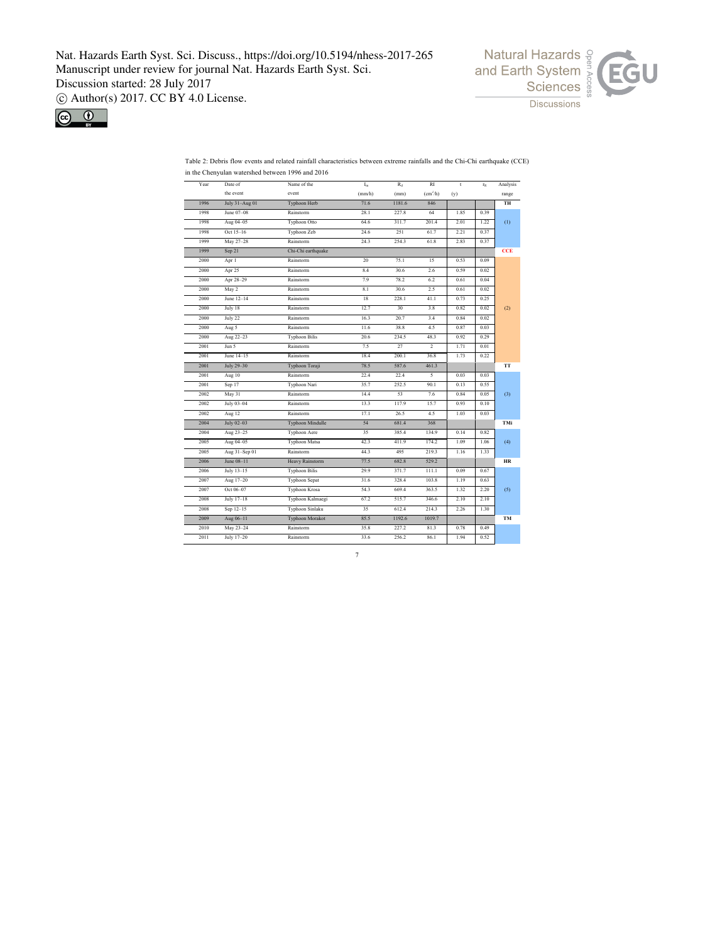



Table 2: Debris flow events and related rainfall characteristics between extreme rainfalls and the Chi-Chi earthquake (CCE) in the Chenyulan watershed between 1996 and 2016

| Year | Date of        | Name of the            | $I_m$  | R,     | RI             | t    | $r_{R}$ | Analysis   |
|------|----------------|------------------------|--------|--------|----------------|------|---------|------------|
|      | the event      | event                  | (mm/h) | (mm)   | $(cm^2/h)$     | (y)  |         | range      |
| 1996 | July 31-Aug 01 | <b>Typhoon Herb</b>    | 71.6   | 1181.6 | 846            |      |         | TH         |
| 1998 | June 07-08     | Rainstorm              | 28.1   | 227.8  | 64             | 1.85 | 0.39    |            |
| 1998 | Aug 04-05      | <b>Typhoon Otto</b>    | 64.6   | 311.7  | 201.4          | 2.01 | 1.22    | (1)        |
| 1998 | Oct 15-16      | Typhoon Zeb            | 24.6   | 251    | 61.7           | 2.21 | 0.37    |            |
| 1999 | May 27-28      | Rainstorm              | 24.3   | 254.3  | 61.8           | 2.83 | 0.37    |            |
| 1999 | Sep 21         | Chi-Chi earthquake     |        |        |                |      |         | <b>CCE</b> |
| 2000 | Apr 1          | Rainstorm              | 20     | 75.1   | 15             | 0.53 | 0.09    |            |
| 2000 | Apr 25         | Rainstorm              | 8.4    | 30.6   | 2.6            | 0.59 | 0.02    |            |
| 2000 | Apr 28-29      | Rainstorm              | 7.9    | 78.2   | 6.2            | 0.61 | 0.04    |            |
| 2000 | May 2          | Rainstorm              | 8.1    | 30.6   | 2.5            | 0.61 | 0.02    |            |
| 2000 | June 12-14     | Rainstorm              | 18     | 228.1  | 41.1           | 0.73 | 0.25    |            |
| 2000 | July 18        | Rainstorm              | 12.7   | 30     | 3.8            | 0.82 | 0.02    | (2)        |
| 2000 | July 22        | Rainstorm              | 16.3   | 20.7   | 3.4            | 0.84 | 0.02    |            |
| 2000 | Aug 5          | Rainstorm              | 11.6   | 38.8   | 4.5            | 0.87 | 0.03    |            |
| 2000 | Aug 22-23      | <b>Typhoon Bilis</b>   | 20.6   | 234.5  | 48.3           | 0.92 | 0.29    |            |
| 2001 | Jun 5          | Rainstorm              | 7.5    | 27     | $\overline{2}$ | 1.71 | 0.01    |            |
| 2001 | June 14-15     | Rainstorm              | 18.4   | 200.1  | 36.8           | 1.73 | 0.22    |            |
| 2001 | July 29-30     | Typhoon Toraji         | 78.5   | 587.6  | 461.3          |      |         | <b>TT</b>  |
| 2001 | Aug 10         | Rainstorm              | 22.4   | 22.4   | 5              | 0.03 | 0.03    |            |
| 2001 | Sep 17         | Typhoon Nari           | 35.7   | 252.5  | 90.1           | 0.13 | 0.55    |            |
| 2002 | May 31         | Rainstorm              | 14.4   | 53     | 7.6            | 0.84 | 0.05    | (3)        |
| 2002 | July 03-04     | Rainstorm              | 13.3   | 117.9  | 15.7           | 0.93 | 0.10    |            |
| 2002 | Aug 12         | Rainstorm              | 17.1   | 26.5   | 4.5            | 1.03 | 0.03    |            |
| 2004 | July 02-03     | Typhoon Mindulle       | 54     | 681.4  | 368            |      |         | TMi        |
| 2004 | Aug 23-25      | Typhoon Aere           | 35     | 385.4  | 134.9          | 0.14 | 0.82    |            |
| 2005 | Aug 04-05      | Typhoon Matsa          | 42.3   | 411.9  | 174.2          | 1.09 | 1.06    | (4)        |
| 2005 | Aug 31-Sep 01  | Rainstorm              | 44.3   | 495    | 219.3          | 1.16 | 1.33    |            |
| 2006 | June 08-11     | Heavy Rainstorm        | 77.5   | 682.8  | 529.2          |      |         | <b>HR</b>  |
| 2006 | July 13-15     | <b>Typhoon Bilis</b>   | 29.9   | 371.7  | 111.1          | 0.09 | 0.67    |            |
| 2007 | Aug 17-20      | <b>Typhoon Sepat</b>   | 31.6   | 328.4  | 103.8          | 1.19 | 0.63    |            |
| 2007 | Oct 06-07      | Typhoon Krosa          | 54.3   | 669.4  | 363.5          | 1.32 | 2.20    | (5)        |
| 2008 | July 17-18     | Typhoon Kalmaegi       | 67.2   | 515.7  | 346.6          | 2.10 | 2.10    |            |
| 2008 | Sep 12-15      | Typhoon Sinlaku        | 35     | 612.4  | 214.3          | 2.26 | 1.30    |            |
| 2009 | Aug 06-11      | <b>Typhoon Morakot</b> | 85.5   | 1192.6 | 1019.7         |      |         | TM         |
| 2010 | May 23-24      | Rainstorm              | 35.8   | 227.2  | 81.3           | 0.78 | 0.49    |            |
| 2011 | July 17-20     | Rainstorm              | 33.6   | 256.2  | 86.1           | 1.94 | 0.52    |            |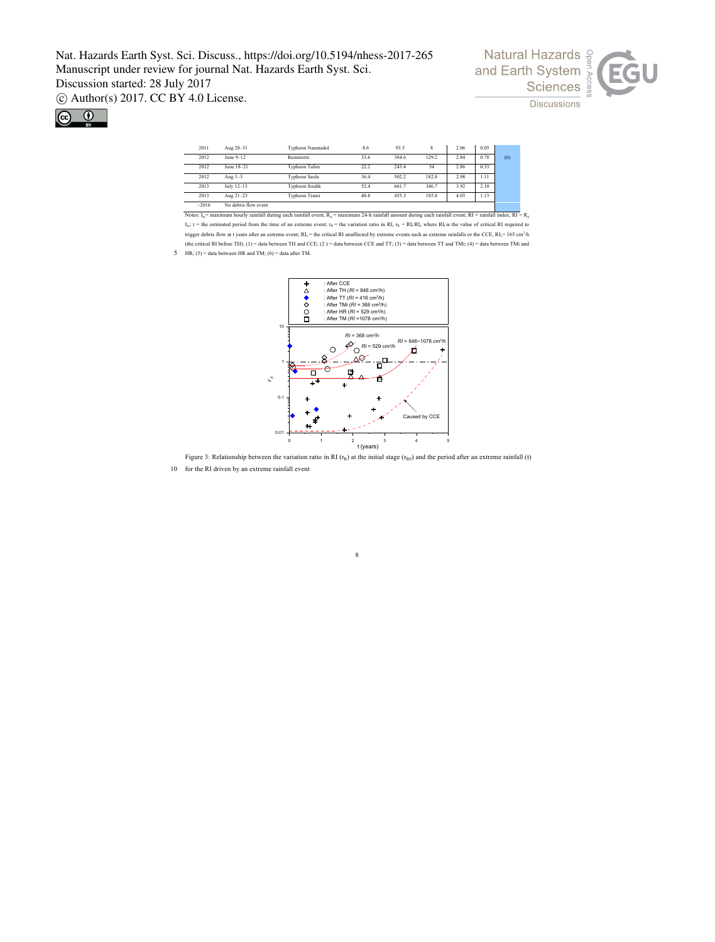



| 2011  | Aug 28-31            | Typhoon Nanmadol      | 8.6  | 93.5  | 8     | 2.06 | 0.05 |     |
|-------|----------------------|-----------------------|------|-------|-------|------|------|-----|
| 2012  | June 9-12            | Rainstorm             | 33.6 | 384.6 | 129.2 | 2.84 | 0.78 | (6) |
| 2012  | June 18-21           | Typhoon Talim         | 22.2 | 243.4 | 54    | 2.86 | 0.33 |     |
| 2012  | Aug $1-3$            | Typhoon Saola         | 36.4 | 502.2 | 182.8 | 2.98 | 1.11 |     |
| 2013  | July 12-13           | <b>Typhoon Soulik</b> | 52.4 | 661.7 | 346.7 | 3.92 | 2.10 |     |
| 2013  | Aug 21-23            | Typhoon Trami         | 40.8 | 455.3 | 185.8 | 4.03 | 1.13 |     |
| ~2016 | No debris flow event |                       |      |       |       |      |      |     |

Notes:  $I_m$  = maximum hourly rainfall during each rainfall event;  $R_d$  = maximum 24-h rainfall amount during each rainfall event; RI = rainfall index, RI = R<sub>d</sub>  $I_m$ ; t = the estimated period from the time of an extreme event;  $r_R$  = the variation ratio in RI,  $r_R$  = RI/RI<sub>o</sub> where RI<sub>t</sub> is the value of critical RI required to trigger debris flow at t years after an extreme event; RI<sub>o</sub>= the critical RI unaffected by extreme events such as extreme rainfalls or the CCE, RI<sub>o</sub>= 165 cm<sup>2</sup>/h (the critical RI before TH); (1) = data between TH and CCE; (2) = data between CCE and TT; (3) = data between TT and TMi; (4) = data between TMi and

5 HR;  $(5)$  = data between HR and TM;  $(6)$  = data after TM.



Figure 3: Relationship between the variation ratio in RI  $(r_R)$  at the initial stage  $(r_{R0})$  and the period after an extreme rainfall (t)

8

10 for the RI driven by an extreme rainfall event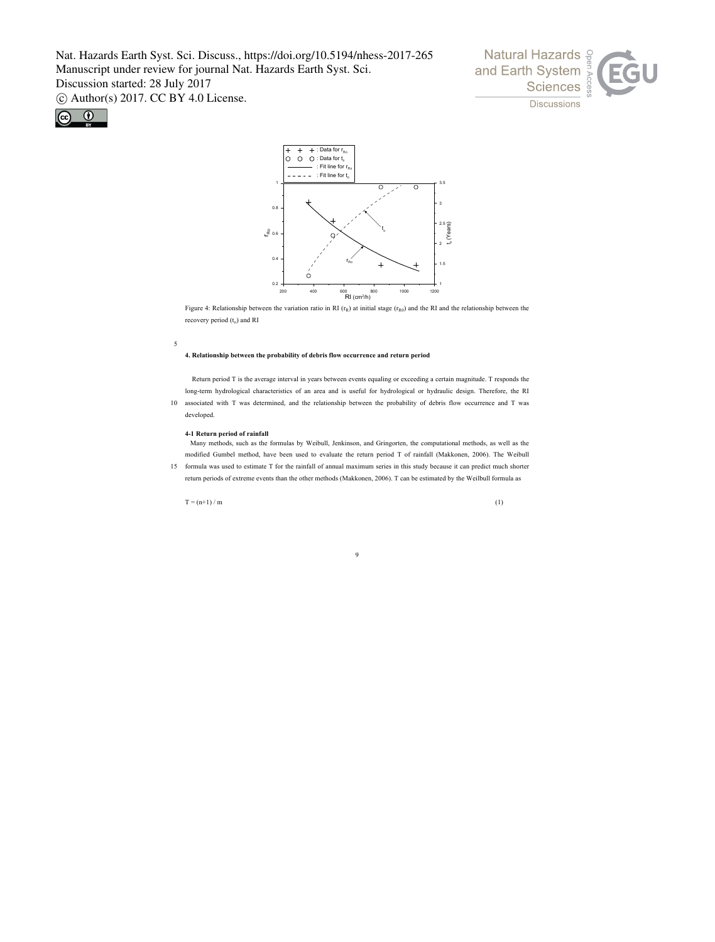Nat. Hazards Earth Syst. Sci. Discuss., https://doi.org/10.5194/nhess-2017-265 Manuscript under review for journal Nat. Hazards Earth Syst. Sci. Discussion started: 28 July 2017

c Author(s) 2017. CC BY 4.0 License.







Figure 4: Relationship between the variation ratio in RI ( $r_R$ ) at initial stage ( $r_{R0}$ ) and the RI and the relationship between the recovery period (to) and RI

#### **4. Relationship between the probability of debris flow occurrence and return period**

 Return period T is the average interval in years between events equaling or exceeding a certain magnitude. T responds the long-term hydrological characteristics of an area and is useful for hydrological or hydraulic design. Therefore, the RI 10 associated with T was determined, and the relationship between the probability of debris flow occurrence and T was

developed.

5

# **4-1 Return period of rainfall**

 Many methods, such as the formulas by Weibull, Jenkinson, and Gringorten, the computational methods, as well as the modified Gumbel method, have been used to evaluate the return period T of rainfall (Makkonen, 2006). The Weibull

15 formula was used to estimate T for the rainfall of annual maximum series in this study because it can predict much shorter return periods of extreme events than the other methods (Makkonen, 2006). T can be estimated by the Weilbull formula as

9

 $T = (n+1) / m$  (1)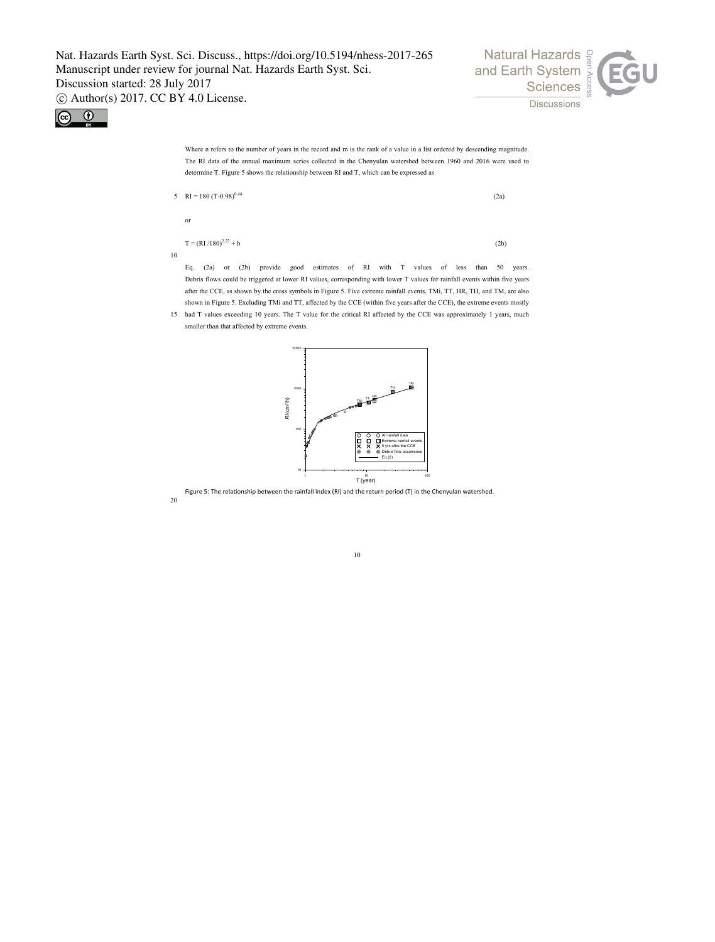



Where n refers to the number of years in the record and m is the rank of a value in a list ordered by descending magnitude. The RI data of the annual maximum series collected in the Chenyulan watershed between 1960 and 2016 were used to determine T. Figure 5 shows the relationship between RI and T, which can be expressed as

| 5 RI = 180 (T-0.98) <sup>0.44</sup> | (2a) |
|-------------------------------------|------|
| or                                  |      |

 $T = (RI/180)^{2.27} + b$  (2b)

10

Eq. (2a) or (2b) provide good estimates of RI with T values of less than 50 years. Debris flows could be triggered at lower RI values, corresponding with lower T values for rainfall events within five years after the CCE, as shown by the cross symbols in Figure 5. Five extreme rainfall events, TMi, TT, HR, TH, and TM, are also shown in Figure 5. Excluding TMi and TT, affected by the CCE (within five years after the CCE), the extreme events mostly

15 had T values exceeding 10 years. The T value for the critical RI affected by the CCE was approximately 1 years, much smaller than that affected by extreme events.



Figure 5: The relationship between the rainfall index (RI) and the return period (T) in the Chenyulan watershed. 20

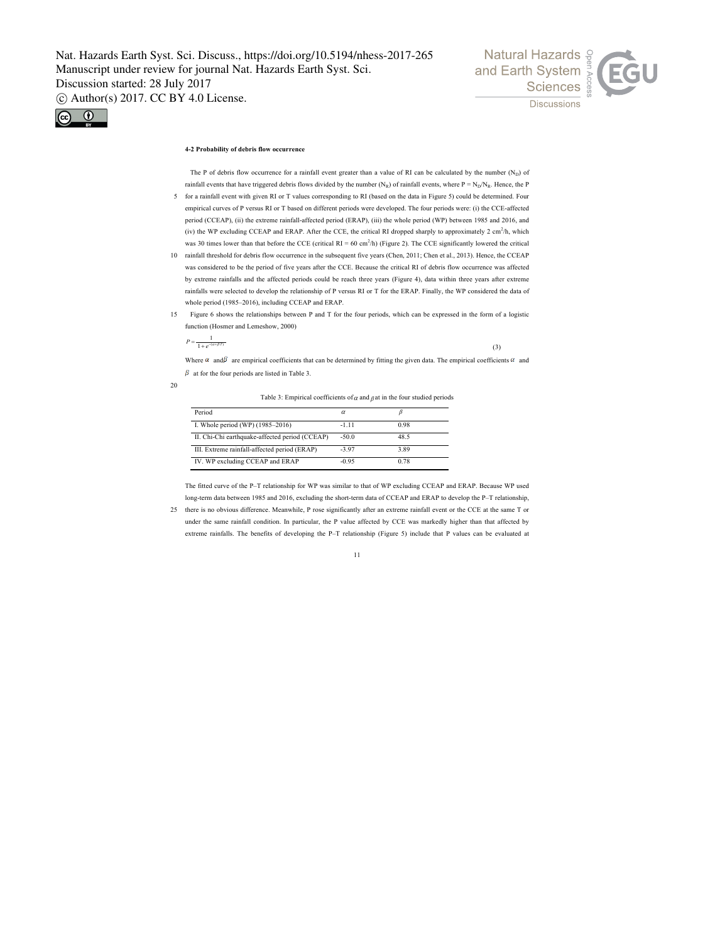



# **4-2 Probability of debris flow occurrence**

The P of debris flow occurrence for a rainfall event greater than a value of RI can be calculated by the number  $(N_D)$  of rainfall events that have triggered debris flows divided by the number (N<sub>R</sub>) of rainfall events, where  $P = N_D/N_R$ . Hence, the P 5 for a rainfall event with given RI or T values corresponding to RI (based on the data in Figure 5) could be determined. Four

- empirical curves of P versus RI or T based on different periods were developed. The four periods were: (i) the CCE-affected period (CCEAP), (ii) the extreme rainfall-affected period (ERAP), (iii) the whole period (WP) between 1985 and 2016, and (iv) the WP excluding CCEAP and ERAP. After the CCE, the critical RI dropped sharply to approximately  $2 \text{ cm}^2/\text{h}$ , which was 30 times lower than that before the CCE (critical  $RI = 60$  cm<sup>2</sup>/h) (Figure 2). The CCE significantly lowered the critical
- 10 rainfall threshold for debris flow occurrence in the subsequent five years (Chen, 2011; Chen et al., 2013). Hence, the CCEAP was considered to be the period of five years after the CCE. Because the critical RI of debris flow occurrence was affected by extreme rainfalls and the affected periods could be reach three years (Figure 4), data within three years after extreme rainfalls were selected to develop the relationship of P versus RI or T for the ERAP. Finally, the WP considered the data of whole period (1985–2016), including CCEAP and ERAP.
- 15 Figure 6 shows the relationships between P and T for the four periods, which can be expressed in the form of a logistic function (Hosmer and Lemeshow, 2000)

 $\frac{1}{1+e^{-t}}$  $P = \frac{P}{1 + e^{-(a+\beta T)}}$  (3)

Where  $\alpha$  and  $\beta$  are empirical coefficients that can be determined by fitting the given data. The empirical coefficients  $\alpha$  and  $\beta$  at for the four periods are listed in Table 3.

 $20$ 

Table 3: Empirical coefficients of  $\alpha$  and  $\beta$  at in the four studied periods

| Period                                         | α       |      |
|------------------------------------------------|---------|------|
| I. Whole period (WP) (1985-2016)               | -111    | 0.98 |
| II. Chi-Chi earthquake-affected period (CCEAP) | $-500$  | 48.5 |
| III. Extreme rainfall-affected period (ERAP)   | $-397$  | 3.89 |
| IV. WP excluding CCEAP and ERAP                | $-0.95$ | 0.78 |

The fitted curve of the P–T relationship for WP was similar to that of WP excluding CCEAP and ERAP. Because WP used long-term data between 1985 and 2016, excluding the short-term data of CCEAP and ERAP to develop the P–T relationship,

25 there is no obvious difference. Meanwhile, P rose significantly after an extreme rainfall event or the CCE at the same T or under the same rainfall condition. In particular, the P value affected by CCE was markedly higher than that affected by extreme rainfalls. The benefits of developing the P–T relationship (Figure 5) include that P values can be evaluated at

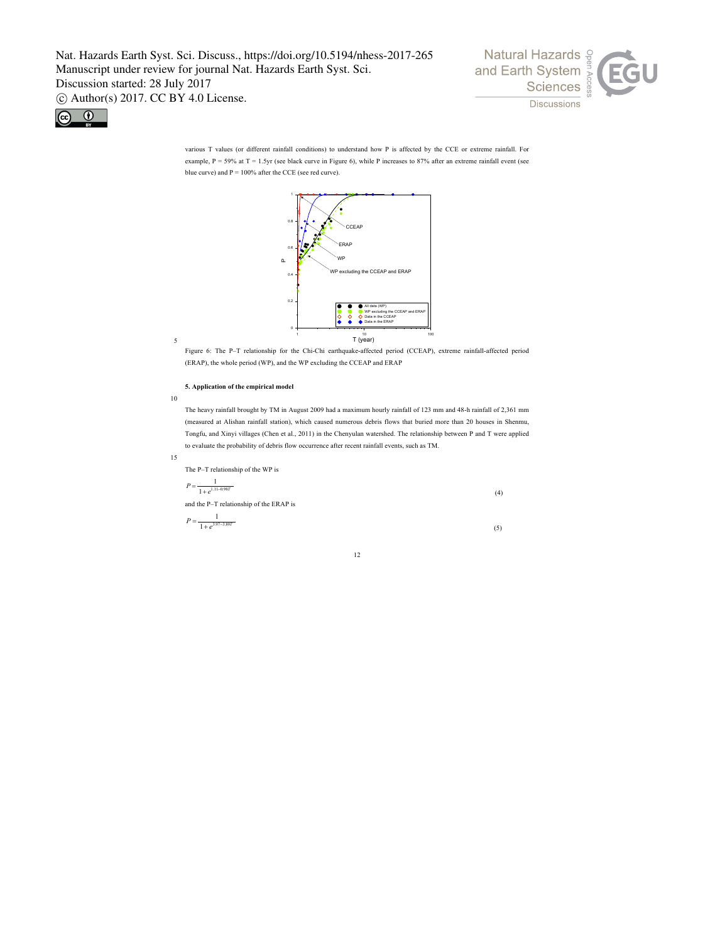



various T values (or different rainfall conditions) to understand how P is affected by the CCE or extreme rainfall. For example,  $P = 59\%$  at T = 1.5yr (see black curve in Figure 6), while P increases to 87% after an extreme rainfall event (see blue curve) and  $P = 100\%$  after the CCE (see red curve).



Figure 6: The P–T relationship for the Chi-Chi earthquake-affected period (CCEAP), extreme rainfall-affected period (ERAP), the whole period (WP), and the WP excluding the CCEAP and ERAP

# **5. Application of the empirical model**

10

15

1

5

The heavy rainfall brought by TM in August 2009 had a maximum hourly rainfall of 123 mm and 48-h rainfall of 2,361 mm (measured at Alishan rainfall station), which caused numerous debris flows that buried more than 20 houses in Shenmu, Tongfu, and Xinyi villages (Chen et al., 2011) in the Chenyulan watershed. The relationship between P and T were applied to evaluate the probability of debris flow occurrence after recent rainfall events, such as TM.

The P-T relationship of the WP is  
\n
$$
P = \frac{1}{1 + e^{1.1 + 0.98T}}
$$
\nand the P-T relationship of the ERAP is  
\n
$$
P = \frac{1}{1 + e^{3.97 - 3.89T}}
$$
\n(5)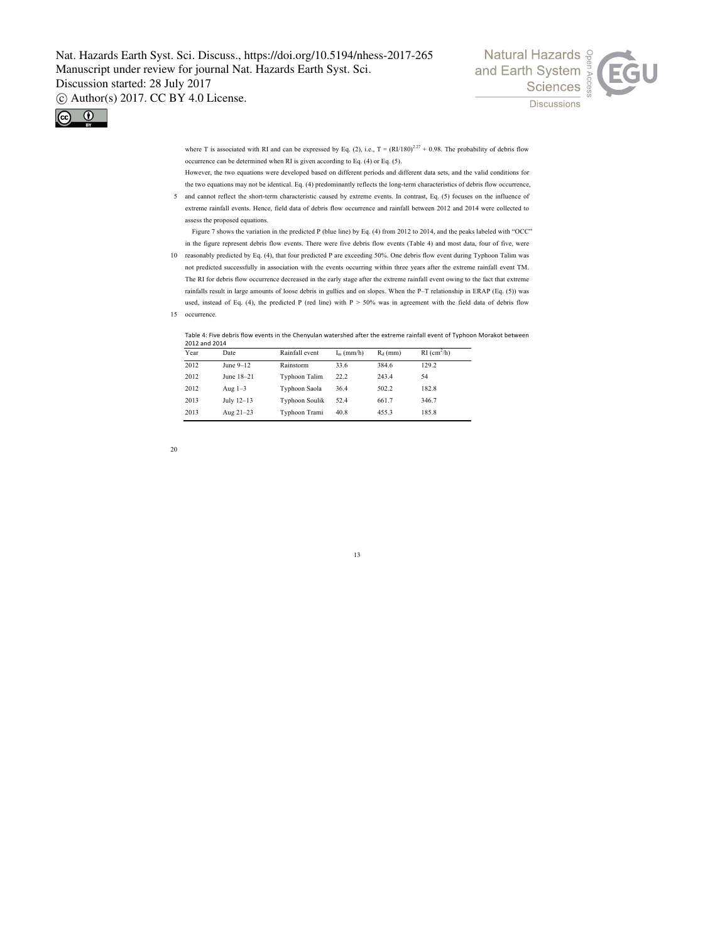Nat. Hazards Earth Syst. Sci. Discuss., https://doi.org/10.5194/nhess-2017-265 Manuscript under review for journal Nat. Hazards Earth Syst. Sci. Discussion started: 28 July 2017

c Author(s) 2017. CC BY 4.0 License.





where T is associated with RI and can be expressed by Eq. (2), i.e.,  $T = (R/I180)^{2.27} + 0.98$ . The probability of debris flow occurrence can be determined when RI is given according to Eq. (4) or Eq. (5).

However, the two equations were developed based on different periods and different data sets, and the valid conditions for the two equations may not be identical. Eq. (4) predominantly reflects the long-term characteristics of debris flow occurrence,

5 and cannot reflect the short-term characteristic caused by extreme events. In contrast, Eq. (5) focuses on the influence of extreme rainfall events. Hence, field data of debris flow occurrence and rainfall between 2012 and 2014 were collected to assess the proposed equations.

 Figure 7 shows the variation in the predicted P (blue line) by Eq. (4) from 2012 to 2014, and the peaks labeled with "OCC" in the figure represent debris flow events. There were five debris flow events (Table 4) and most data, four of five, were

10 reasonably predicted by Eq. (4), that four predicted P are exceeding 50%. One debris flow event during Typhoon Talim was not predicted successfully in association with the events occurring within three years after the extreme rainfall event TM. The RI for debris flow occurrence decreased in the early stage after the extreme rainfall event owing to the fact that extreme rainfalls result in large amounts of loose debris in gullies and on slopes. When the P–T relationship in ERAP (Eq. (5)) was used, instead of Eq. (4), the predicted P (red line) with P > 50% was in agreement with the field data of debris flow 15 occurrence.

13

| 2012 and 2014 |             |                       |              |            | Table 4: Five debris flow events in the Chenyulan watershed after the extreme rainfall event of Typhoon Morakot between |
|---------------|-------------|-----------------------|--------------|------------|-------------------------------------------------------------------------------------------------------------------------|
| Year          | Date        | Rainfall event        | $I_m$ (mm/h) | $R_d$ (mm) | $RI$ (cm <sup>2</sup> /h)                                                                                               |
| 2012          | June $9-12$ | Rainstorm             | 33.6         | 384.6      | 129.2                                                                                                                   |
| 2012          | June 18-21  | Typhoon Talim         | 22.2         | 243.4      | 54                                                                                                                      |
| 2012          | Aug $1-3$   | Typhoon Saola         | 36.4         | 502.2      | 182.8                                                                                                                   |
| 2013          | July 12-13  | <b>Typhoon Soulik</b> | 52.4         | 661.7      | 346.7                                                                                                                   |
| 2013          | Aug $21-23$ | Typhoon Trami         | 40.8         | 455.3      | 185.8                                                                                                                   |
|               |             |                       |              |            |                                                                                                                         |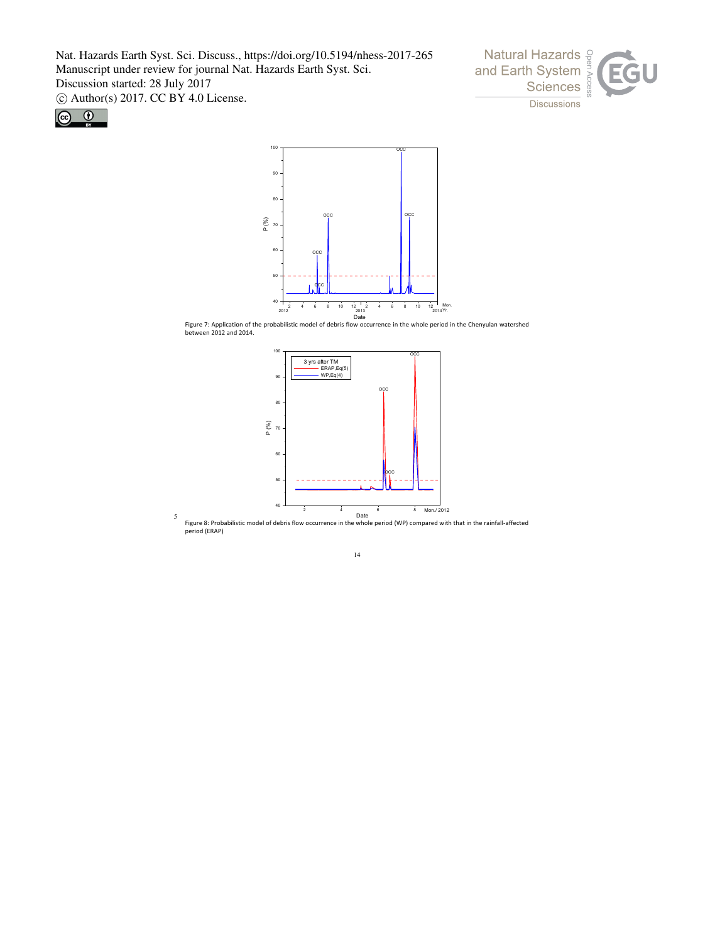





Figure 7: Application of the probabilistic model of debris flow occurrence in the whole period in the Chenyulan watershed between 2012 and 2014.



5 Figure 8: Probabilistic model of debris flow occurrence in the whole period (WP) compared with that in the rainfall-affected<br>period (ERAP)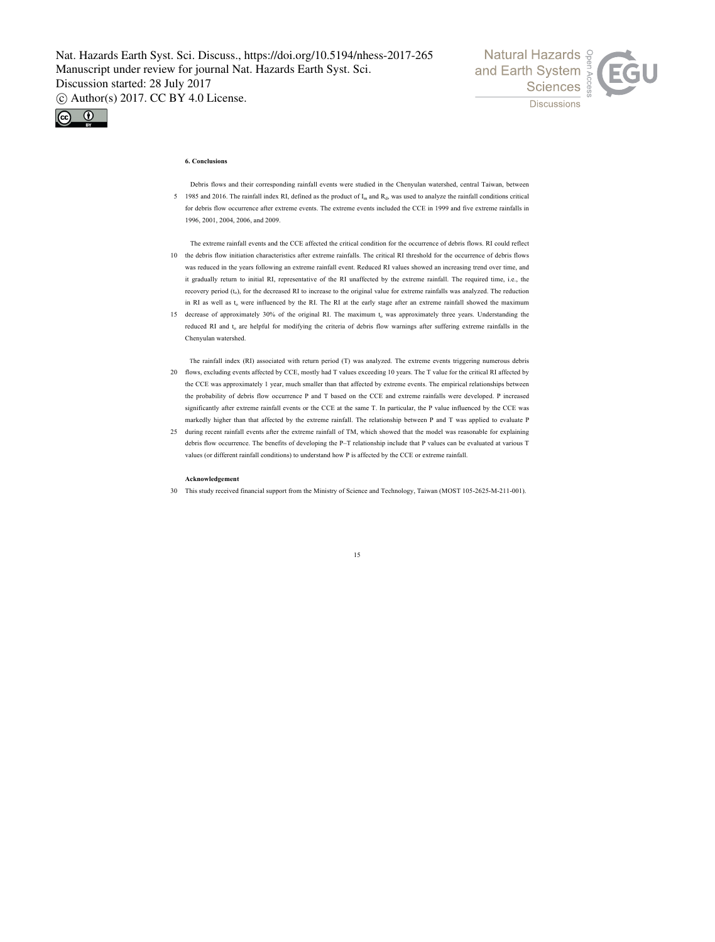



#### **6. Conclusions**

 Debris flows and their corresponding rainfall events were studied in the Chenyulan watershed, central Taiwan, between 5 1985 and 2016. The rainfall index RI, defined as the product of I<sub>m</sub> and R<sub>d</sub>, was used to analyze the rainfall conditions critical for debris flow occurrence after extreme events. The extreme events included the CCE in 1999 and five extreme rainfalls in 1996, 2001, 2004, 2006, and 2009.

 The extreme rainfall events and the CCE affected the critical condition for the occurrence of debris flows. RI could reflect 10 the debris flow initiation characteristics after extreme rainfalls. The critical RI threshold for the occurrence of debris flows was reduced in the years following an extreme rainfall event. Reduced RI values showed an increasing trend over time, and

- it gradually return to initial RI, representative of the RI unaffected by the extreme rainfall. The required time, i.e., the recovery period  $(t_0)$ , for the decreased RI to increase to the original value for extreme rainfalls was analyzed. The reduction in RI as well as t<sub>o</sub> were influenced by the RI. The RI at the early stage after an extreme rainfall showed the maximum 15 decrease of approximately 30% of the original RI. The maximum t<sub>o</sub> was approximately three years. Understanding the
- reduced RI and t<sub>o</sub> are helpful for modifying the criteria of debris flow warnings after suffering extreme rainfalls in the Chenyulan watershed.
- The rainfall index (RI) associated with return period (T) was analyzed. The extreme events triggering numerous debris 20 flows, excluding events affected by CCE, mostly had T values exceeding 10 years. The T value for the critical RI affected by the CCE was approximately 1 year, much smaller than that affected by extreme events. The empirical relationships between the probability of debris flow occurrence P and T based on the CCE and extreme rainfalls were developed. P increased significantly after extreme rainfall events or the CCE at the same T. In particular, the P value influenced by the CCE was markedly higher than that affected by the extreme rainfall. The relationship between P and T was applied to evaluate P
- 25 during recent rainfall events after the extreme rainfall of TM, which showed that the model was reasonable for explaining debris flow occurrence. The benefits of developing the P–T relationship include that P values can be evaluated at various T values (or different rainfall conditions) to understand how P is affected by the CCE or extreme rainfall.

### **Acknowledgement**

30 This study received financial support from the Ministry of Science and Technology, Taiwan (MOST 105-2625-M-211-001).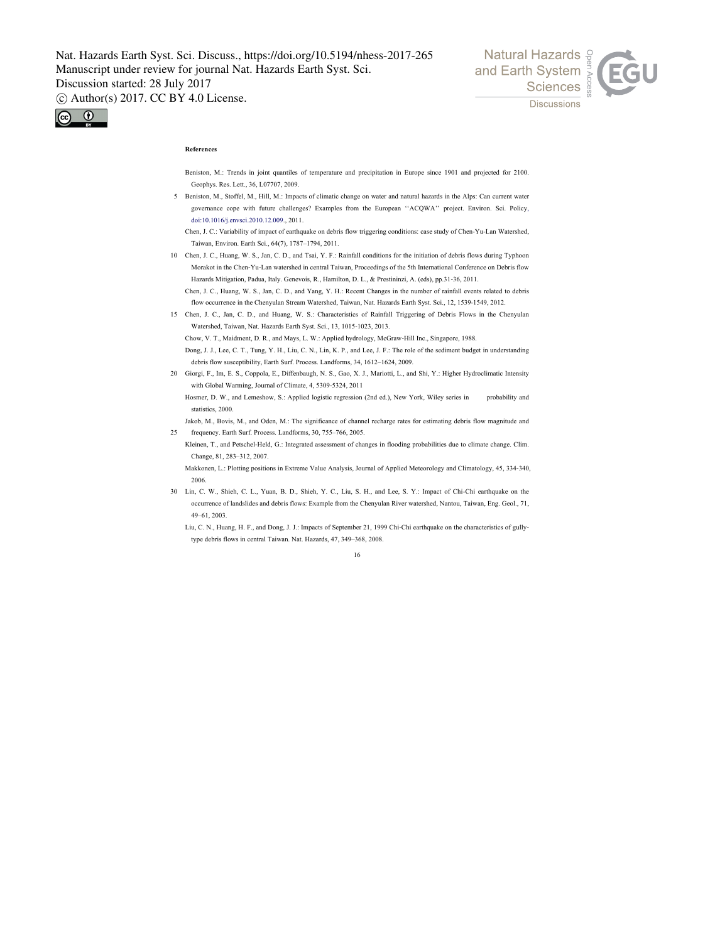$\left($  $\bullet$ 



### **References**

Beniston, M.: Trends in joint quantiles of temperature and precipitation in Europe since 1901 and projected for 2100. Geophys. Res. Lett., 36, L07707, 2009.

- 5 Beniston, M., Stoffel, M., Hill, M.: Impacts of climatic change on water and natural hazards in the Alps: Can current water governance cope with future challenges? Examples from the European ''ACQWA'' project. Environ. Sci. Policy, doi:10.1016/j.envsci.2010.12.009., 2011.
- Chen, J. C.: Variability of impact of earthquake on debris flow triggering conditions: case study of Chen-Yu-Lan Watershed, Taiwan, Environ. Earth Sci., 64(7), 1787–1794, 2011.
- 10 Chen, J. C., Huang, W. S., Jan, C. D., and Tsai, Y. F.: Rainfall conditions for the initiation of debris flows during Typhoon Morakot in the Chen-Yu-Lan watershed in central Taiwan, Proceedings of the 5th International Conference on Debris flow Hazards Mitigation, Padua, Italy. Genevois, R., Hamilton, D. L., & Prestininzi, A. (eds), pp.31-36, 2011. Chen, J. C., Huang, W. S., Jan, C. D., and Yang, Y. H.: Recent Changes in the number of rainfall events related to debris
	- flow occurrence in the Chenyulan Stream Watershed, Taiwan, Nat. Hazards Earth Syst. Sci., 12, 1539-1549, 2012.
- 15 Chen, J. C., Jan, C. D., and Huang, W. S.: Characteristics of Rainfall Triggering of Debris Flows in the Chenyulan Watershed, Taiwan, Nat. Hazards Earth Syst. Sci., 13, 1015-1023, 2013.
	- Chow, V. T., Maidment, D. R., and Mays, L. W.: Applied hydrology, McGraw-Hill Inc., Singapore, 1988.
	- Dong, J. J., Lee, C. T., Tung, Y. H., Liu, C. N., Lin, K. P., and Lee, J. F.: The role of the sediment budget in understanding debris flow susceptibility, Earth Surf. Process. Landforms, 34, 1612–1624, 2009.
- 20 Giorgi, F., Im, E. S., Coppola, E., Diffenbaugh, N. S., Gao, X. J., Mariotti, L., and Shi, Y.: Higher Hydroclimatic Intensity with Global Warming, Journal of Climate, 4, 5309-5324, 2011
	- Hosmer, D. W., and Lemeshow, S.: Applied logistic regression (2nd ed.), New York, Wiley series in probability and statistics, 2000.
- Jakob, M., Bovis, M., and Oden, M.: The significance of channel recharge rates for estimating debris flow magnitude and 25 frequency. Earth Surf. Process. Landforms, 30, 755–766, 2005.
	- Kleinen, T., and Petschel-Held, G.: Integrated assessment of changes in flooding probabilities due to climate change. Clim. Change, 81, 283–312, 2007.

Makkonen, L.: Plotting positions in Extreme Value Analysis, Journal of Applied Meteorology and Climatology, 45, 334-340, 2006.

- 30 Lin, C. W., Shieh, C. L., Yuan, B. D., Shieh, Y. C., Liu, S. H., and Lee, S. Y.: Impact of Chi-Chi earthquake on the occurrence of landslides and debris flows: Example from the Chenyulan River watershed, Nantou, Taiwan, Eng. Geol., 71, 49–61, 2003.
	- Liu, C. N., Huang, H. F., and Dong, J. J.: Impacts of September 21, 1999 Chi-Chi earthquake on the characteristics of gullytype debris flows in central Taiwan. Nat. Hazards, 47, 349–368, 2008.